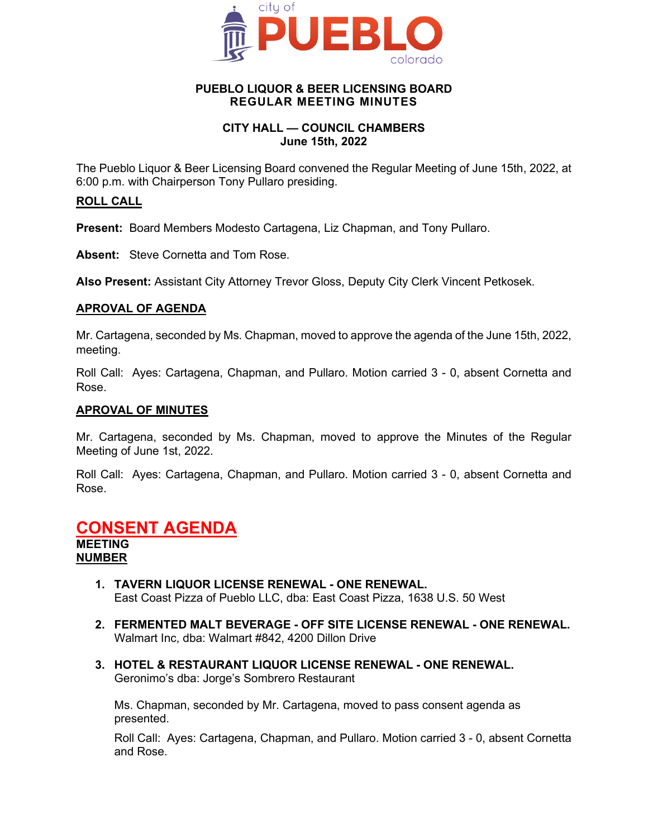

#### **PUEBLO LIQUOR & BEER LICENSING BOARD REGULAR MEETING MINUTES**

### **CITY HALL — COUNCIL CHAMBERS June 15th, 2022**

The Pueblo Liquor & Beer Licensing Board convened the Regular Meeting of June 15th, 2022, at 6:00 p.m. with Chairperson Tony Pullaro presiding.

#### **ROLL CALL**

**Present:** Board Members Modesto Cartagena, Liz Chapman, and Tony Pullaro.

**Absent:** Steve Cornetta and Tom Rose.

**Also Present:** Assistant City Attorney Trevor Gloss, Deputy City Clerk Vincent Petkosek.

#### **APROVAL OF AGENDA**

Mr. Cartagena, seconded by Ms. Chapman, moved to approve the agenda of the June 15th, 2022, meeting.

Roll Call: Ayes: Cartagena, Chapman, and Pullaro. Motion carried 3 - 0, absent Cornetta and Rose.

#### **APROVAL OF MINUTES**

Mr. Cartagena, seconded by Ms. Chapman, moved to approve the Minutes of the Regular Meeting of June 1st, 2022.

Roll Call: Ayes: Cartagena, Chapman, and Pullaro. Motion carried 3 - 0, absent Cornetta and Rose.

## **CONSENT AGENDA**

**MEETING NUMBER**

- **1. TAVERN LIQUOR LICENSE RENEWAL - ONE RENEWAL.** East Coast Pizza of Pueblo LLC, dba: East Coast Pizza, 1638 U.S. 50 West
- **2. FERMENTED MALT BEVERAGE - OFF SITE LICENSE RENEWAL - ONE RENEWAL.** Walmart Inc, dba: Walmart #842, 4200 Dillon Drive
- **3. HOTEL & RESTAURANT LIQUOR LICENSE RENEWAL - ONE RENEWAL.** Geronimo's dba: Jorge's Sombrero Restaurant

Ms. Chapman, seconded by Mr. Cartagena, moved to pass consent agenda as presented.

Roll Call: Ayes: Cartagena, Chapman, and Pullaro. Motion carried 3 - 0, absent Cornetta and Rose.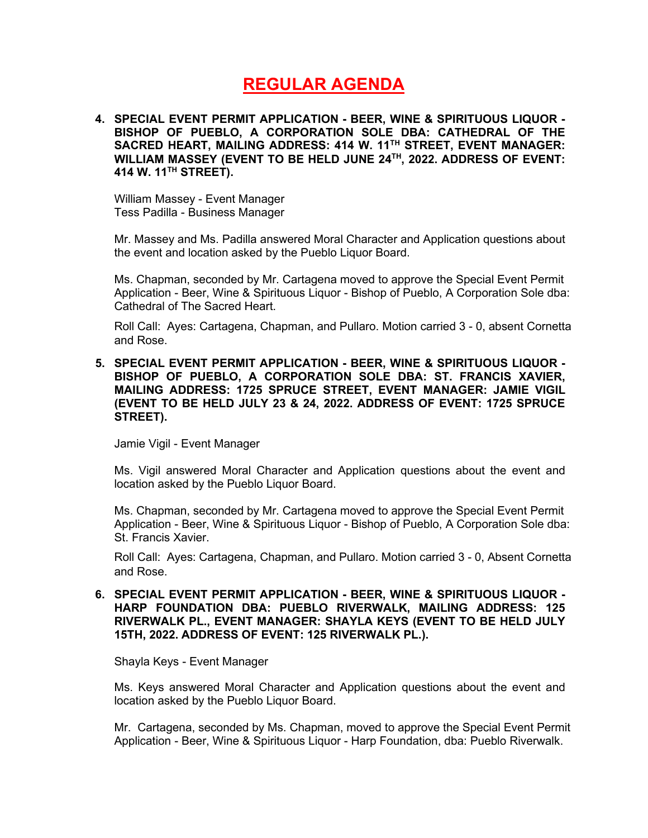# **REGULAR AGENDA**

**4. SPECIAL EVENT PERMIT APPLICATION - BEER, WINE & SPIRITUOUS LIQUOR - BISHOP OF PUEBLO, A CORPORATION SOLE DBA: CATHEDRAL OF THE SACRED HEART, MAILING ADDRESS: 414 W. 11TH STREET, EVENT MANAGER: WILLIAM MASSEY (EVENT TO BE HELD JUNE 24TH, 2022. ADDRESS OF EVENT: 414 W. 11TH STREET).**

William Massey - Event Manager Tess Padilla - Business Manager

Mr. Massey and Ms. Padilla answered Moral Character and Application questions about the event and location asked by the Pueblo Liquor Board.

Ms. Chapman, seconded by Mr. Cartagena moved to approve the Special Event Permit Application - Beer, Wine & Spirituous Liquor - Bishop of Pueblo, A Corporation Sole dba: Cathedral of The Sacred Heart.

Roll Call: Ayes: Cartagena, Chapman, and Pullaro. Motion carried 3 - 0, absent Cornetta and Rose.

#### **5. SPECIAL EVENT PERMIT APPLICATION - BEER, WINE & SPIRITUOUS LIQUOR - BISHOP OF PUEBLO, A CORPORATION SOLE DBA: ST. FRANCIS XAVIER, MAILING ADDRESS: 1725 SPRUCE STREET, EVENT MANAGER: JAMIE VIGIL (EVENT TO BE HELD JULY 23 & 24, 2022. ADDRESS OF EVENT: 1725 SPRUCE STREET).**

Jamie Vigil - Event Manager

Ms. Vigil answered Moral Character and Application questions about the event and location asked by the Pueblo Liquor Board.

Ms. Chapman, seconded by Mr. Cartagena moved to approve the Special Event Permit Application - Beer, Wine & Spirituous Liquor - Bishop of Pueblo, A Corporation Sole dba: St. Francis Xavier.

Roll Call: Ayes: Cartagena, Chapman, and Pullaro. Motion carried 3 - 0, Absent Cornetta and Rose.

**6. SPECIAL EVENT PERMIT APPLICATION - BEER, WINE & SPIRITUOUS LIQUOR - HARP FOUNDATION DBA: PUEBLO RIVERWALK, MAILING ADDRESS: 125 RIVERWALK PL., EVENT MANAGER: SHAYLA KEYS (EVENT TO BE HELD JULY 15TH, 2022. ADDRESS OF EVENT: 125 RIVERWALK PL.).**

Shayla Keys - Event Manager

Ms. Keys answered Moral Character and Application questions about the event and location asked by the Pueblo Liquor Board.

Mr. Cartagena, seconded by Ms. Chapman, moved to approve the Special Event Permit Application - Beer, Wine & Spirituous Liquor - Harp Foundation, dba: Pueblo Riverwalk.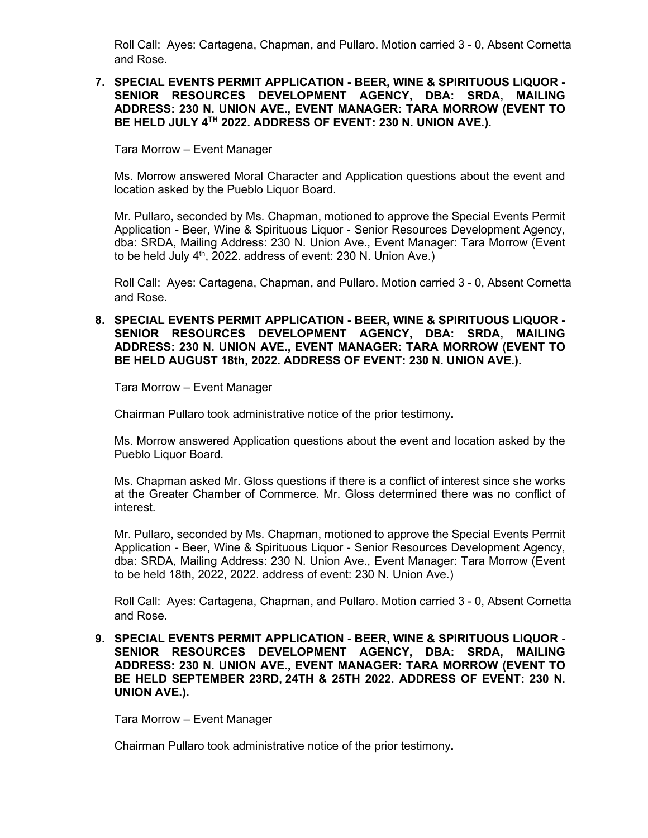Roll Call: Ayes: Cartagena, Chapman, and Pullaro. Motion carried 3 - 0, Absent Cornetta and Rose.

#### **7. SPECIAL EVENTS PERMIT APPLICATION - BEER, WINE & SPIRITUOUS LIQUOR - SENIOR RESOURCES DEVELOPMENT AGENCY, DBA: SRDA, MAILING ADDRESS: 230 N. UNION AVE., EVENT MANAGER: TARA MORROW (EVENT TO BE HELD JULY 4TH 2022. ADDRESS OF EVENT: 230 N. UNION AVE.).**

Tara Morrow – Event Manager

Ms. Morrow answered Moral Character and Application questions about the event and location asked by the Pueblo Liquor Board.

Mr. Pullaro, seconded by Ms. Chapman, motioned to approve the Special Events Permit Application - Beer, Wine & Spirituous Liquor - Senior Resources Development Agency, dba: SRDA, Mailing Address: 230 N. Union Ave., Event Manager: Tara Morrow (Event to be held July  $4<sup>th</sup>$ , 2022. address of event: 230 N. Union Ave.)

Roll Call: Ayes: Cartagena, Chapman, and Pullaro. Motion carried 3 - 0, Absent Cornetta and Rose.

#### **8. SPECIAL EVENTS PERMIT APPLICATION - BEER, WINE & SPIRITUOUS LIQUOR - SENIOR RESOURCES DEVELOPMENT AGENCY, DBA: SRDA, MAILING ADDRESS: 230 N. UNION AVE., EVENT MANAGER: TARA MORROW (EVENT TO BE HELD AUGUST 18th, 2022. ADDRESS OF EVENT: 230 N. UNION AVE.).**

Tara Morrow – Event Manager

Chairman Pullaro took administrative notice of the prior testimony**.**

Ms. Morrow answered Application questions about the event and location asked by the Pueblo Liquor Board.

Ms. Chapman asked Mr. Gloss questions if there is a conflict of interest since she works at the Greater Chamber of Commerce. Mr. Gloss determined there was no conflict of interest.

Mr. Pullaro, seconded by Ms. Chapman, motioned to approve the Special Events Permit Application - Beer, Wine & Spirituous Liquor - Senior Resources Development Agency, dba: SRDA, Mailing Address: 230 N. Union Ave., Event Manager: Tara Morrow (Event to be held 18th, 2022, 2022. address of event: 230 N. Union Ave.)

Roll Call: Ayes: Cartagena, Chapman, and Pullaro. Motion carried 3 - 0, Absent Cornetta and Rose.

**9. SPECIAL EVENTS PERMIT APPLICATION - BEER, WINE & SPIRITUOUS LIQUOR - SENIOR RESOURCES DEVELOPMENT AGENCY, DBA: SRDA, MAILING ADDRESS: 230 N. UNION AVE., EVENT MANAGER: TARA MORROW (EVENT TO BE HELD SEPTEMBER 23RD, 24TH & 25TH 2022. ADDRESS OF EVENT: 230 N. UNION AVE.).**

Tara Morrow – Event Manager

Chairman Pullaro took administrative notice of the prior testimony**.**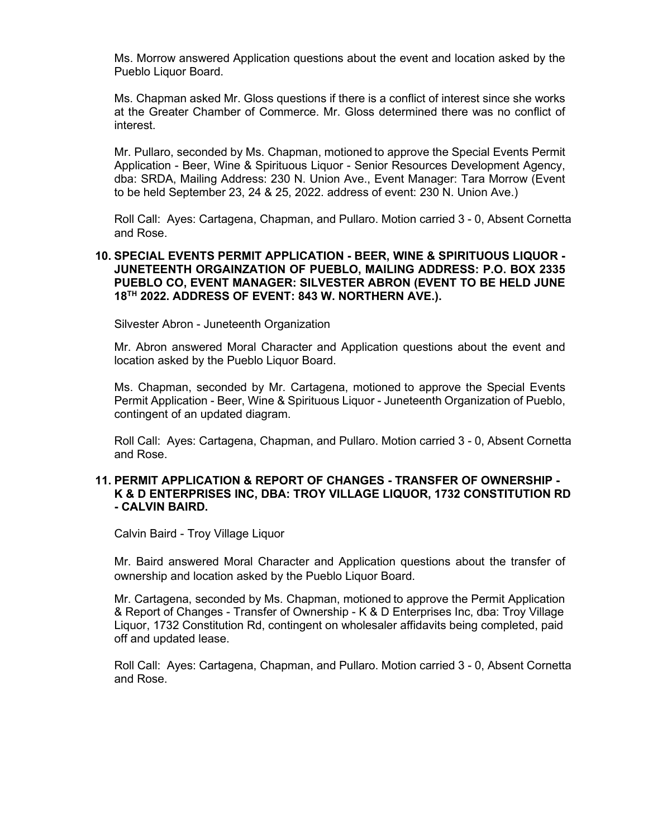Ms. Morrow answered Application questions about the event and location asked by the Pueblo Liquor Board.

Ms. Chapman asked Mr. Gloss questions if there is a conflict of interest since she works at the Greater Chamber of Commerce. Mr. Gloss determined there was no conflict of interest.

Mr. Pullaro, seconded by Ms. Chapman, motioned to approve the Special Events Permit Application - Beer, Wine & Spirituous Liquor - Senior Resources Development Agency, dba: SRDA, Mailing Address: 230 N. Union Ave., Event Manager: Tara Morrow (Event to be held September 23, 24 & 25, 2022. address of event: 230 N. Union Ave.)

Roll Call: Ayes: Cartagena, Chapman, and Pullaro. Motion carried 3 - 0, Absent Cornetta and Rose.

#### **10. SPECIAL EVENTS PERMIT APPLICATION - BEER, WINE & SPIRITUOUS LIQUOR - JUNETEENTH ORGAINZATION OF PUEBLO, MAILING ADDRESS: P.O. BOX 2335 PUEBLO CO, EVENT MANAGER: SILVESTER ABRON (EVENT TO BE HELD JUNE 18TH 2022. ADDRESS OF EVENT: 843 W. NORTHERN AVE.).**

Silvester Abron - Juneteenth Organization

Mr. Abron answered Moral Character and Application questions about the event and location asked by the Pueblo Liquor Board.

Ms. Chapman, seconded by Mr. Cartagena, motioned to approve the Special Events Permit Application - Beer, Wine & Spirituous Liquor - Juneteenth Organization of Pueblo, contingent of an updated diagram.

Roll Call: Ayes: Cartagena, Chapman, and Pullaro. Motion carried 3 - 0, Absent Cornetta and Rose.

#### **11. PERMIT APPLICATION & REPORT OF CHANGES - TRANSFER OF OWNERSHIP - K & D ENTERPRISES INC, DBA: TROY VILLAGE LIQUOR, 1732 CONSTITUTION RD - CALVIN BAIRD.**

Calvin Baird - Troy Village Liquor

Mr. Baird answered Moral Character and Application questions about the transfer of ownership and location asked by the Pueblo Liquor Board.

Mr. Cartagena, seconded by Ms. Chapman, motioned to approve the Permit Application & Report of Changes - Transfer of Ownership - K & D Enterprises Inc, dba: Troy Village Liquor, 1732 Constitution Rd, contingent on wholesaler affidavits being completed, paid off and updated lease.

Roll Call: Ayes: Cartagena, Chapman, and Pullaro. Motion carried 3 - 0, Absent Cornetta and Rose.